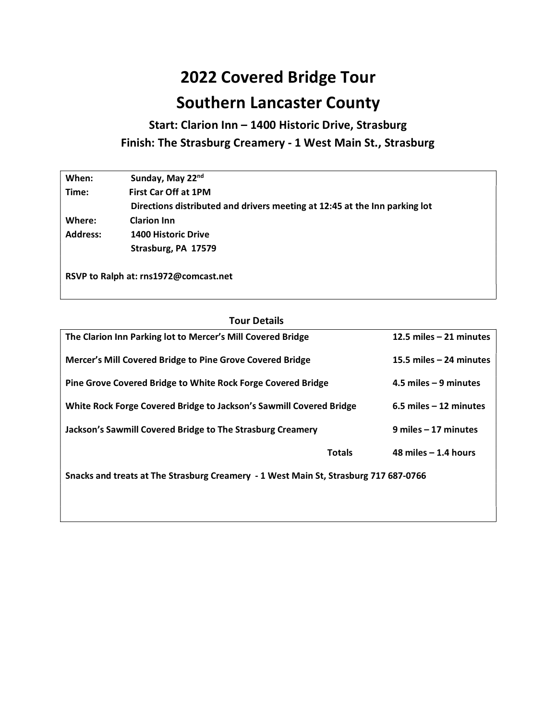## 2022 Covered Bridge Tour Southern Lancaster County

Start: Clarion Inn – 1400 Historic Drive, Strasburg Finish: The Strasburg Creamery - 1 West Main St., Strasburg

| When:           | Sunday, May 22nd                                                           |
|-----------------|----------------------------------------------------------------------------|
| Time:           | <b>First Car Off at 1PM</b>                                                |
|                 | Directions distributed and drivers meeting at 12:45 at the Inn parking lot |
| Where:          | <b>Clarion Inn</b>                                                         |
| <b>Address:</b> | <b>1400 Historic Drive</b>                                                 |
|                 | Strasburg, PA 17579                                                        |
|                 |                                                                            |

RSVP to Ralph at: rns1972@comcast.net

## Tour Details

| The Clarion Inn Parking lot to Mercer's Mill Covered Bridge                          |                           | 12.5 miles $-21$ minutes |  |
|--------------------------------------------------------------------------------------|---------------------------|--------------------------|--|
| Mercer's Mill Covered Bridge to Pine Grove Covered Bridge                            | 15.5 miles $-24$ minutes  |                          |  |
| <b>Pine Grove Covered Bridge to White Rock Forge Covered Bridge</b>                  | $4.5$ miles $-9$ minutes  |                          |  |
| White Rock Forge Covered Bridge to Jackson's Sawmill Covered Bridge                  | $6.5$ miles $-12$ minutes |                          |  |
| Jackson's Sawmill Covered Bridge to The Strasburg Creamery                           |                           | $9$ miles $-17$ minutes  |  |
|                                                                                      | <b>Totals</b>             | 48 miles $-1.4$ hours    |  |
| Snacks and treats at The Strasburg Creamery - 1 West Main St, Strasburg 717 687-0766 |                           |                          |  |